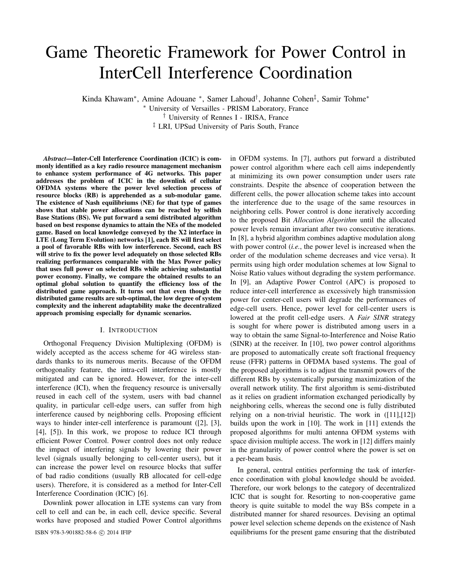# Game Theoretic Framework for Power Control in InterCell Interference Coordination

Kinda Khawam<sup>∗</sup> , Amine Adouane <sup>∗</sup> , Samer Lahoud† , Johanne Cohen‡ , Samir Tohme<sup>∗</sup>

<sup>∗</sup> University of Versailles - PRISM Laboratory, France

† University of Rennes I - IRISA, France

‡ LRI, UPSud University of Paris South, France

*Abstract*—Inter-Cell Interference Coordination (ICIC) is commonly identified as a key radio resource management mechanism to enhance system performance of 4G networks. This paper addresses the problem of ICIC in the downlink of cellular OFDMA systems where the power level selection process of resource blocks (RB) is apprehended as a sub-modular game. The existence of Nash equilibriums (NE) for that type of games shows that stable power allocations can be reached by selfish Base Stations (BS). We put forward a semi distributed algorithm based on best response dynamics to attain the NEs of the modeled game. Based on local knowledge conveyed by the X2 interface in LTE (Long Term Evolution) networks [1], each BS will first select a pool of favorable RBs with low interference. Second, each BS will strive to fix the power level adequately on those selected RBs realizing performances comparable with the Max Power policy that uses full power on selected RBs while achieving substantial power economy. Finally, we compare the obtained results to an optimal global solution to quantify the efficiency loss of the distributed game approach. It turns out that even though the distributed game results are sub-optimal, the low degree of system complexity and the inherent adaptability make the decentralized approach promising especially for dynamic scenarios.

# I. INTRODUCTION

Orthogonal Frequency Division Multiplexing (OFDM) is widely accepted as the access scheme for 4G wireless standards thanks to its numerous merits. Because of the OFDM orthogonality feature, the intra-cell interference is mostly mitigated and can be ignored. However, for the inter-cell interference (ICI), when the frequency resource is universally reused in each cell of the system, users with bad channel quality, in particular cell-edge users, can suffer from high interference caused by neighboring cells. Proposing efficient ways to hinder inter-cell interference is paramount ([2], [3], [4], [5]). In this work, we propose to reduce ICI through efficient Power Control. Power control does not only reduce the impact of interfering signals by lowering their power level (signals usually belonging to cell-center users), but it can increase the power level on resource blocks that suffer of bad radio conditions (usually RB allocated for cell-edge users). Therefore, it is considered as a method for Inter-Cell Interference Coordination (ICIC) [6].

Downlink power allocation in LTE systems can vary from cell to cell and can be, in each cell, device specific. Several works have proposed and studied Power Control algorithms in OFDM systems. In [7], authors put forward a distributed power control algorithm where each cell aims independently at minimizing its own power consumption under users rate constraints. Despite the absence of cooperation between the different cells, the power allocation scheme takes into account the interference due to the usage of the same resources in neighboring cells. Power control is done iteratively according to the proposed Bit *Allocation Algorithm* until the allocated power levels remain invariant after two consecutive iterations. In [8], a hybrid algorithm combines adaptive modulation along with power control (*i.e.*, the power level is increased when the order of the modulation scheme decreases and vice versa). It permits using high order modulation schemes at low Signal to Noise Ratio values without degrading the system performance. In [9], an Adaptive Power Control (APC) is proposed to reduce inter-cell interference as excessively high transmission power for center-cell users will degrade the performances of edge-cell users. Hence, power level for cell-center users is lowered at the profit cell-edge users. A *Fair SINR* strategy is sought for where power is distributed among users in a way to obtain the same Signal-to-Interference and Noise Ratio (SINR) at the receiver. In [10], two power control algorithms are proposed to automatically create soft fractional frequency reuse (FFR) patterns in OFDMA based systems. The goal of the proposed algorithms is to adjust the transmit powers of the different RBs by systematically pursuing maximization of the overall network utility. The first algorithm is semi-distributed as it relies on gradient information exchanged periodically by neighboring cells, whereas the second one is fully distributed relying on a non-trivial heuristic. The work in ([11],[12]) builds upon the work in [10]. The work in [11] extends the proposed algorithms for multi antenna OFDM systems with space division multiple access. The work in [12] differs mainly in the granularity of power control where the power is set on a per-beam basis.

In general, central entities performing the task of interference coordination with global knowledge should be avoided. Therefore, our work belongs to the category of decentralized ICIC that is sought for. Resorting to non-cooperative game theory is quite suitable to model the way BSs compete in a distributed manner for shared resources. Devising an optimal power level selection scheme depends on the existence of Nash ISBN 978-3-901882-58-6 c 2014 IFIP equilibriums for the present game ensuring that the distributed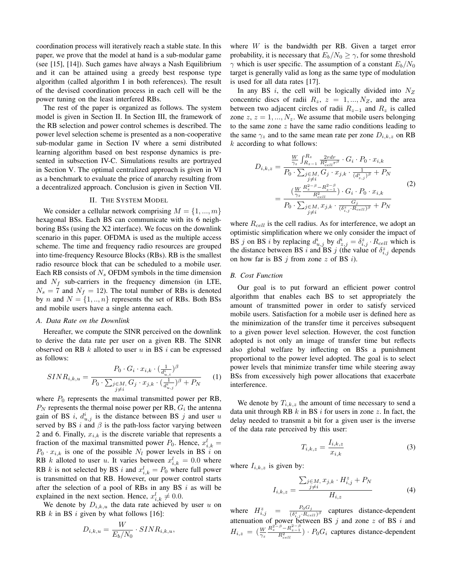coordination process will iteratively reach a stable state. In this paper, we prove that the model at hand is a sub-modular game (see [15], [14]). Such games have always a Nash Equilibrium and it can be attained using a greedy best response type algorithm (called algorithm I in both references). The result of the devised coordination process in each cell will be the power tuning on the least interfered RBs.

The rest of the paper is organized as follows. The system model is given in Section II. In Section III, the framework of the RB selection and power control schemes is described. The power level selection scheme is presented as a non-cooperative sub-modular game in Section IV where a semi distributed learning algorithm based on best response dynamics is presented in subsection IV-C. Simulations results are portrayed in Section V. The optimal centralized approach is given in VI as a benchmark to evaluate the price of anarchy resulting from a decentralized approach. Conclusion is given in Section VII.

# II. THE SYSTEM MODEL

We consider a cellular network comprising  $M = \{1, ..., m\}$ hexagonal BSs. Each BS can communicate with its 6 neighboring BSs (using the X2 interface). We focus on the downlink scenario in this paper. OFDMA is used as the multiple access scheme. The time and frequency radio resources are grouped into time-frequency Resource Blocks (RBs). RB is the smallest radio resource block that can be scheduled to a mobile user. Each RB consists of  $N_s$  OFDM symbols in the time dimension and  $N_f$  sub-carriers in the frequency dimension (in LTE,  $N_s = 7$  and  $N_f = 12$ ). The total number of RBs is denoted by *n* and  $N = \{1, ..., n\}$  represents the set of RBs. Both BSs and mobile users have a single antenna each.

# *A. Data Rate on the Downlink*

Hereafter, we compute the SINR perceived on the downlink to derive the data rate per user on a given RB. The SINR observed on RB  $k$  alloted to user  $u$  in BS  $i$  can be expressed as follows:

$$
SINR_{i,k,u} = \frac{P_0 \cdot G_i \cdot x_{i,k} \cdot (\frac{1}{d_{u,i}^i})^{\beta}}{P_0 \cdot \sum_{\substack{j \in M, \\ j \neq i}} G_j \cdot x_{j,k} \cdot (\frac{1}{d_{u,j}^i})^{\beta} + P_N}
$$
(1)

where  $P_0$  represents the maximal transmitted power per RB,  $P_N$  represents the thermal noise power per RB,  $G_i$  the antenna gain of BS *i*,  $d_{u,j}^i$  is the distance between BS *j* and user *u* served by BS  $i$  and  $\beta$  is the path-loss factor varying between 2 and 6. Finally,  $x_{i,k}$  is the discrete variable that represents a fraction of the maximal transmitted power  $P_0$ . Hence,  $x_{i,k}^l =$  $P_0 \cdot x_{i,k}$  is one of the possible  $N_l$  power levels in BS i on RB k alloted to user u. It varies between  $x_{i,k}^l = 0.0$  where RB k is not selected by BS i and  $x_{i,k}^l = P_0$  where full power is transmitted on that RB. However, our power control starts after the selection of a pool of RBs in any BS  $i$  as will be explained in the next section. Hence,  $x_{i,k}^l \neq 0.0$ .

We denote by  $D_{i,k,u}$  the data rate achieved by user u on RB  $k$  in BS  $i$  given by what follows [16]:

$$
D_{i,k,u} = \frac{W}{E_b/N_0} \cdot SINR_{i,k,u},
$$

where  $W$  is the bandwidth per RB. Given a target error probability, it is necessary that  $E_b/N_0 \ge \gamma$ , for some threshold  $\gamma$  which is user specific. The assumption of a constant  $E_b/N_0$ target is generally valid as long as the same type of modulation is used for all data rates [17].

In any BS i, the cell will be logically divided into  $N_Z$ concentric discs of radii  $R_z$ ,  $z = 1, ..., N_Z$ , and the area between two adjacent circles of radii  $R_{z-1}$  and  $R_z$  is called zone  $z, z = 1, ..., N_z$ . We assume that mobile users belonging to the same zone  $z$  have the same radio conditions leading to the same  $\gamma_z$  and to the same mean rate per zone  $D_{i,k,z}$  on RB k according to what follows:

$$
D_{i,k,z} = \frac{\frac{W}{\gamma_z} \int_{R_{z-1}}^{R_z} \frac{2r dr}{R_{cell}^2 r^\beta} \cdot G_i \cdot P_0 \cdot x_{i,k}}{P_0 \cdot \sum_{\substack{j \in M, \\ j \neq i}} G_j \cdot x_{j,k} \cdot \frac{1}{(d_{z,j}^i)^\beta} + P_N}
$$
  

$$
= \frac{\left(\frac{W}{\gamma_z} \frac{R_z^{2-\beta} - R_{z-1}^{2-\beta}}{R_{cell}^2}\right) \cdot G_i \cdot P_0 \cdot x_{i,k}}{P_0 \cdot \sum_{\substack{j \in M, \\ j \neq i}} x_{j,k} \cdot \frac{G_j}{(\delta_{i,j}^z \cdot R_{cell})^\beta} + P_N}
$$
(2)

where  $R_{cell}$  is the cell radius. As for interference, we adopt an optimistic simplification where we only consider the impact of BS *j* on BS *i* by replacing  $d_{u,j}^i$  by  $d_{z,j}^i = \delta_{i,j}^z \cdot R_{cell}$  which is the distance between BS i and BS j (the value of  $\delta_{i,j}^z$  depends on how far is BS  $j$  from zone  $z$  of BS  $i$ ).

## *B. Cost Function*

Our goal is to put forward an efficient power control algorithm that enables each BS to set appropriately the amount of transmitted power in order to satisfy serviced mobile users. Satisfaction for a mobile user is defined here as the minimization of the transfer time it perceives subsequent to a given power level selection. However, the cost function adopted is not only an image of transfer time but reflects also global welfare by inflecting on BSs a punishment proportional to the power level adopted. The goal is to select power levels that minimize transfer time while steering away BSs from excessively high power allocations that exacerbate interference.

We denote by  $T_{i,k,z}$  the amount of time necessary to send a data unit through RB  $k$  in BS  $i$  for users in zone  $z$ . In fact, the delay needed to transmit a bit for a given user is the inverse of the data rate perceived by this user:

$$
T_{i,k,z} = \frac{I_{i,k,z}}{x_{i,k}}\tag{3}
$$

where  $I_{i,k,z}$  is given by:

$$
I_{i,k,z} = \frac{\sum_{j \in M, x_{j,k} \cdot H_{i,j}^z + P_N}{H_{i,z}}}{H_{i,z}}
$$
(4)

where  $H_{i,j}^z = \frac{P_0 G_j}{(\delta_{i,j}^z \cdot R_{ce})}$  $rac{F_0G_j}{(\delta_{i,j}^z \cdot R_{cell})^{\beta}}$  captures distance-dependent attenuation of power between BS  $j$  and zone  $z$  of BS  $i$  and  $H_{i,z} = \left(\frac{W}{\gamma_z}\right)$  $\frac{R_2^{2-\beta}-R_{z-1}^{2-\beta}}{R_{cell}^2}$ ) ·  $P_0G_i$  captures distance-dependent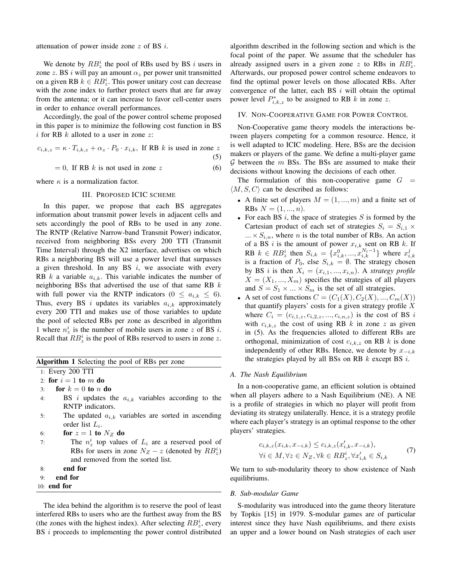attenuation of power inside zone  $z$  of BS  $i$ .

We denote by  $RB_z^i$  the pool of RBs used by BS i users in zone z. BS i will pay an amount  $\alpha_z$  per power unit transmitted on a given RB  $k \in RB_z^i$ . This power unitary cost can decrease with the zone index to further protect users that are far away from the antenna; or it can increase to favor cell-center users in order to enhance overall performances.

Accordingly, the goal of the power control scheme proposed in this paper is to minimize the following cost function in BS  $i$  for RB  $k$  alloted to a user in zone  $z$ :

$$
c_{i,k,z} = \kappa \cdot T_{i,k,z} + \alpha_z \cdot P_0 \cdot x_{i,k}, \text{ If RB } k \text{ is used in zone } z \tag{5}
$$

$$
= 0, \text{ If } RB \ k \text{ is not used in zone } z \tag{6}
$$

where  $\kappa$  is a normalization factor.

# III. PROPOSED ICIC SCHEME

In this paper, we propose that each BS aggregates information about transmit power levels in adjacent cells and sets accordingly the pool of RBs to be used in any zone. The RNTP (Relative Narrow-band Transmit Power) indicator, received from neighboring BSs every 200 TTI (Transmit Time Interval) through the X2 interface, advertises on which RBs a neighboring BS will use a power level that surpasses a given threshold. In any BS  $i$ , we associate with every RB k a variable  $a_{i,k}$ . This variable indicates the number of neighboring BSs that advertised the use of that same RB  $k$ with full power via the RNTP indicators ( $0 \le a_{i,k} \le 6$ ). Thus, every BS  $i$  updates its variables  $a_{i,k}$  approximately every 200 TTI and makes use of those variables to update the pool of selected RBs per zone as described in algorithm 1 where  $n_z^i$  is the number of mobile users in zone z of BS i. Recall that  $RB_z^i$  is the pool of RBs reserved to users in zone z.

| $\mathbf{r}$ $\mathbf{r}$ $\mathbf{r}$ $\mathbf{r}$ $\mathbf{r}$ $\mathbf{r}$ $\mathbf{r}$ $\mathbf{r}$ $\mathbf{r}$ $\mathbf{r}$ $\mathbf{r}$ $\mathbf{r}$ $\mathbf{r}$ $\mathbf{r}$ $\mathbf{r}$ $\mathbf{r}$ $\mathbf{r}$ $\mathbf{r}$ $\mathbf{r}$ $\mathbf{r}$ $\mathbf{r}$ $\mathbf{r}$ $\mathbf{r}$ $\mathbf{r}$ $\mathbf{$ |                                                              |
|------------------------------------------------------------------------------------------------------------------------------------------------------------------------------------------------------------------------------------------------------------------------------------------------------------------------------------|--------------------------------------------------------------|
| 1: Every 200 TTI                                                                                                                                                                                                                                                                                                                   |                                                              |
| 2: for $i=1$ to m do                                                                                                                                                                                                                                                                                                               |                                                              |
| for $k=0$ to n do<br>3:                                                                                                                                                                                                                                                                                                            |                                                              |
| 4:                                                                                                                                                                                                                                                                                                                                 | BS <i>i</i> updates the $a_{i,k}$ variables according to the |
| RNTP indicators.                                                                                                                                                                                                                                                                                                                   |                                                              |
| 5:                                                                                                                                                                                                                                                                                                                                 | The updated $a_{i,k}$ variables are sorted in ascending      |
| order list $L_i$ .                                                                                                                                                                                                                                                                                                                 |                                                              |
| for $z = 1$ to $N_z$ do<br>6:                                                                                                                                                                                                                                                                                                      |                                                              |
| 7:                                                                                                                                                                                                                                                                                                                                 | The $n_z^i$ top values of $L_i$ are a reserved pool of       |
|                                                                                                                                                                                                                                                                                                                                    | RBs for users in zone $N_Z - z$ (denoted by $RB_z^i$ )       |
|                                                                                                                                                                                                                                                                                                                                    | and removed from the sorted list.                            |
| end for<br>8:                                                                                                                                                                                                                                                                                                                      |                                                              |
| end for<br>9:                                                                                                                                                                                                                                                                                                                      |                                                              |
| 10: end for                                                                                                                                                                                                                                                                                                                        |                                                              |

The idea behind the algorithm is to reserve the pool of least interfered RBs to users who are the furthest away from the BS (the zones with the highest index). After selecting  $RB_z^i$ , every BS  $i$  proceeds to implementing the power control distributed

algorithm described in the following section and which is the focal point of the paper. We assume that the scheduler has already assigned users in a given zone z to RBs in  $RB_z^i$ . Afterwards, our proposed power control scheme endeavors to find the optimal power levels on those allocated RBs. After convergence of the latter, each BS  $i$  will obtain the optimal power level  $P_{i,k,z}^*$  to be assigned to RB k in zone z.

## IV. NON-COOPERATIVE GAME FOR POWER CONTROL

Non-Cooperative game theory models the interactions between players competing for a common resource. Hence, it is well adapted to ICIC modeling. Here, BSs are the decision makers or players of the game. We define a multi-player game  $G$  between the  $m$  BSs. The BSs are assumed to make their decisions without knowing the decisions of each other.

The formulation of this non-cooperative game  $G =$  $\langle M, S, C \rangle$  can be described as follows:

- A finite set of players  $M = (1, ..., m)$  and a finite set of RBs  $N = (1, ..., n)$ .
- For each BS  $i$ , the space of strategies  $S$  is formed by the Cartesian product of each set of strategies  $S_i = S_{i,1} \times$  $... \times S_{i,n}$ , where *n* is the total number of RBs. An action of a BS i is the amount of power  $x_{i,k}$  sent on RB k. If RB  $k \in RB_{z}^{i}$  then  $S_{i,k} = \{x_{i,k}^{0},...,x_{i,k}^{N_{l}-1}\}$  where  $x_{i,k}^{j}$ is a fraction of  $P_0$ , else  $S_{i,k} = \emptyset$ . The strategy chosen by BS *i* is then  $X_i = (x_{i,1},...,x_{i,n})$ . A *strategy profile*  $X = (X_1, ..., X_m)$  specifies the strategies of all players and  $S = S_1 \times ... \times S_m$  is the set of all strategies.
- A set of cost functions  $C = (C_1(X), C_2(X), ..., C_m(X))$ that quantify players' costs for a given strategy profile  $X$ where  $C_i = (c_{i,1,z}, c_{i,2,z}, ..., c_{i,n,z})$  is the cost of BS i with  $c_{i,k,z}$  the cost of using RB k in zone z as given in (5). As the frequencies alloted to different RBs are orthogonal, minimization of cost  $c_{i,k,z}$  on RB k is done independently of other RBs. Hence, we denote by  $x_{-i,k}$ the strategies played by all BSs on RB  $k$  except BS  $i$ .

# *A. The Nash Equilibrium*

In a non-cooperative game, an efficient solution is obtained when all players adhere to a Nash Equilibrium (NE). A NE is a profile of strategies in which no player will profit from deviating its strategy unilaterally. Hence, it is a strategy profile where each player's strategy is an optimal response to the other players' strategies.

$$
c_{i,k,z}(x_{i,k}, x_{-i,k}) \leq c_{i,k,z}(x'_{i,k}, x_{-i,k}),
$$
  
\n
$$
\forall i \in M, \forall z \in N_Z, \forall k \in RB_z^i, \forall x'_{i,k} \in S_{i,k}
$$
 (7)

We turn to sub-modularity theory to show existence of Nash equilibriums.

### *B. Sub-modular Game*

S-modularity was introduced into the game theory literature by Topkis [15] in 1979. S-modular games are of particular interest since they have Nash equilibriums, and there exists an upper and a lower bound on Nash strategies of each user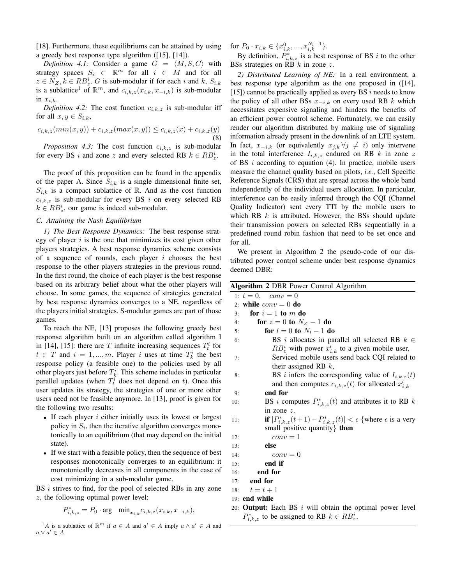[18]. Furthermore, these equilibriums can be attained by using a greedy best response type algorithm ([15], [14]).

*Definition* 4.1: Consider a game  $G = \langle M, S, C \rangle$  with strategy spaces  $S_i \subset \mathbb{R}^m$  for all  $i \in M$  and for all  $z \in N_Z, k \in RB_z^i$ . G is sub-modular if for each i and k,  $S_{i,k}$ is a sublattice<sup>1</sup> of  $\mathbb{R}^m$ , and  $c_{i,k,z}(x_{i,k}, x_{-i,k})$  is sub-modular in  $x_{i,k}$ .

*Definition* 4.2: The cost function  $c_{i,k,z}$  is sub-modular iff for all  $x, y \in S_{i,k}$ ,

$$
c_{i,k,z}(min(x,y)) + c_{i,k,z}(max(x,y)) \le c_{i,k,z}(x) + c_{i,k,z}(y)
$$
\n(8)

*Proposition* 4.3: The cost function  $c_{i,k,z}$  is sub-modular for every BS i and zone z and every selected RB  $k \in RB_z^i$ .

The proof of this proposition can be found in the appendix of the paper A. Since  $S_{i,k}$  is a single dimensional finite set,  $S_{i,k}$  is a compact sublattice of R. And as the cost function  $c_{i,k,z}$  is sub-modular for every BS i on every selected RB  $k \in RB_z^i$ , our game is indeed sub-modular.

# *C. Attaining the Nash Equilibrium*

*1) The Best Response Dynamics:* The best response strategy of player  $i$  is the one that minimizes its cost given other players strategies. A best response dynamics scheme consists of a sequence of rounds, each player  $i$  chooses the best response to the other players strategies in the previous round. In the first round, the choice of each player is the best response based on its arbitrary belief about what the other players will choose. In some games, the sequence of strategies generated by best response dynamics converges to a NE, regardless of the players initial strategies. S-modular games are part of those games.

To reach the NE, [13] proposes the following greedy best response algorithm built on an algorithm called algorithm I in [14], [15]: there are T infinite increasing sequences  $T_t^i$  for  $t \in T$  and  $i = 1, ..., m$ . Player i uses at time  $T_k^i$  the best response policy (a feasible one) to the policies used by all other players just before  $T_k^i$ . This scheme includes in particular parallel updates (when  $T_t^i$  does not depend on t). Once this user updates its strategy, the strategies of one or more other users need not be feasible anymore. In [13], proof is given for the following two results:

- If each player  $i$  either initially uses its lowest or largest policy in  $S_i$ , then the iterative algorithm converges monotonically to an equilibrium (that may depend on the initial state).
- If we start with a feasible policy, then the sequence of best responses monotonically converges to an equilibrium: it monotonically decreases in all components in the case of cost minimizing in a sub-modular game.

BS *i* strives to find, for the pool of selected RBs in any zone z, the following optimal power level:

$$
P_{i,k,z}^* = P_0 \cdot \arg \ \min_{x_{i,k}} c_{i,k,z}(x_{i,k}, x_{-i,k}),
$$

<sup>1</sup>A is a sublattice of  $\mathbb{R}^m$  if  $a \in A$  and  $a' \in A$  imply  $a \wedge a' \in A$  and  $a \vee a' \in A$ 

for  $P_0 \cdot x_{i,k} \in \{x_{i,k}^0, ..., x_{i,k}^{N_l-1}\}.$ 

By definition,  $P_{i,k,z}^*$  is a best response of BS i to the other BSs strategies on  $RB k$  in zone z.

*2) Distributed Learning of NE:* In a real environment, a best response type algorithm as the one proposed in ([14], [15]) cannot be practically applied as every BS  $i$  needs to know the policy of all other BSs  $x_{-i,k}$  on every used RB k which necessitates expensive signaling and hinders the benefits of an efficient power control scheme. Fortunately, we can easily render our algorithm distributed by making use of signaling information already present in the downlink of an LTE system. In fact,  $x_{-i,k}$  (or equivalently  $x_{i,k} \forall j \neq i$ ) only intervene in the total interference  $I_{i,k,z}$  endured on RB k in zone z of BS  $i$  according to equation (4). In practice, mobile users measure the channel quality based on pilots, *i.e.*, Cell Specific Reference Signals (CRS) that are spread across the whole band independently of the individual users allocation. In particular, interference can be easily inferred through the CQI (Channel Quality Indicator) sent every TTI by the mobile users to which RB  $k$  is attributed. However, the BSs should update their transmission powers on selected RBs sequentially in a predefined round robin fashion that need to be set once and for all.

We present in Algorithm 2 the pseudo-code of our distributed power control scheme under best response dynamics deemed DBR:

| <b>Algorithm 2 DBR Power Control Algorithm</b> |                                                                                 |  |
|------------------------------------------------|---------------------------------------------------------------------------------|--|
|                                                | 1: $t = 0$ , $conv = 0$                                                         |  |
|                                                | 2: while $conv = 0$ do                                                          |  |
| 3:                                             | for $i=1$ to m do                                                               |  |
| 4:                                             | for $z = 0$ to $N_Z - 1$ do                                                     |  |
| 5:                                             | for $l = 0$ to $N_l - 1$ do                                                     |  |
| 6:                                             | BS i allocates in parallel all selected RB $k \in$                              |  |
|                                                | $RB_z^i$ with power $x_{i,k}^l$ to a given mobile user,                         |  |
| 7:                                             | Serviced mobile users send back CQI related to                                  |  |
|                                                | their assigned RB $k$ ,                                                         |  |
| 8:                                             | BS <i>i</i> infers the corresponding value of $I_{i,k,z}(t)$                    |  |
|                                                | and then computes $c_{i,k,z}(t)$ for allocated $x_{i,k}^l$                      |  |
| 9:                                             | end for                                                                         |  |
| 10:                                            | BS <i>i</i> computes $P_{i,k,z}^*(t)$ and attributes it to RB <i>k</i>          |  |
|                                                | in zone $z$ .                                                                   |  |
| 11:                                            | if $ P_{i,k,z}^*(t+1) - P_{i,k,z}^*(t)  < \epsilon$ {where $\epsilon$ is a very |  |
|                                                | small positive quantity $\{$ then                                               |  |
| 12:                                            | $conv = 1$                                                                      |  |
| 13:                                            | else                                                                            |  |
| 14:                                            | $conv = 0$                                                                      |  |
| 15:                                            | end if                                                                          |  |
| 16:                                            | end for                                                                         |  |
|                                                | $17:$ end for                                                                   |  |
|                                                | 18: $t = t + 1$                                                                 |  |
|                                                | 19: end while                                                                   |  |
|                                                | 20: <b>Output:</b> Each BS $i$ will obtain the optimal power level              |  |

 $P_{i,k,z}^*$  to be assigned to RB  $k \in RB_z^i$ .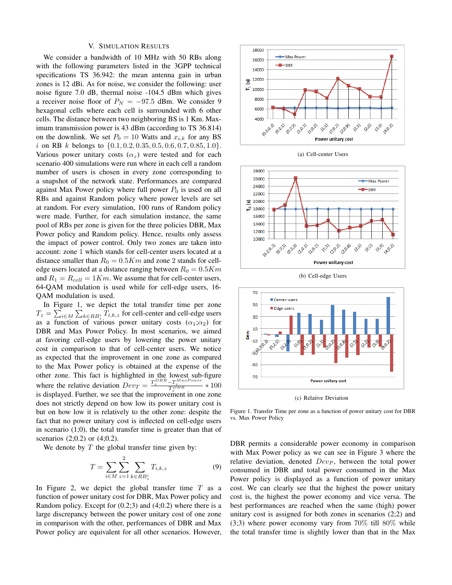### V. SIMULATION RESULTS

We consider a bandwidth of 10 MHz with 50 RBs along with the following parameters listed in the 3GPP technical specifications TS 36.942: the mean antenna gain in urban zones is 12 dBi. As for noise, we consider the following: user noise figure 7.0 dB, thermal noise -104.5 dBm which gives a receiver noise floor of  $P_N = -97.5$  dBm. We consider 9 hexagonal cells where each cell is surrounded with 6 other cells. The distance between two neighboring BS is 1 Km. Maximum transmission power is 43 dBm (according to TS 36.814) on the downlink. We set  $P_0 = 10$  Watts and  $x_{i,k}$  for any BS i on RB k belongs to  $\{0.1, 0.2, 0.35, 0.5, 0.6, 0.7, 0.85, 1.0\}$ . Various power unitary costs  $(\alpha_z)$  were tested and for each scenario 400 simulations were run where in each cell a random number of users is chosen in every zone corresponding to a snapshot of the network state. Performances are compared against Max Power policy where full power  $P_0$  is used on all RBs and against Random policy where power levels are set at random. For every simulation, 100 runs of Random policy were made. Further, for each simulation instance, the same pool of RBs per zone is given for the three policies DBR, Max Power policy and Random policy. Hence, results only assess the impact of power control. Only two zones are taken into account: zone 1 which stands for cell-center users located at a distance smaller than  $R_0 = 0.5Km$  and zone 2 stands for celledge users located at a distance ranging between  $R_0 = 0.5Km$ and  $R_1 = R_{cell} = 1Km$ . We assume that for cell-center users, 64-QAM modulation is used while for cell-edge users, 16- QAM modulation is used.

In Figure 1, we depict the total transfer time per zone  $T_z = \sum_{i \in M} \sum_{k \in RB_z^i} T_{i,k,z}$  for cell-center and cell-edge users as a function of various power unitary costs  $(\alpha_1;\alpha_2)$  for DBR and Max Power Policy. In most scenarios, we aimed at favoring cell-edge users by lowering the power unitary cost in comparison to that of cell-center users. We notice as expected that the improvement in one zone as compared to the Max Power policy is obtained at the expense of the other zone. This fact is highlighted in the lowest sub-figure where the relative deviation  $Dev_T = \frac{T_z^{DBR} - T_z^{MaxPower}}{T_z^{DBR}} * 100$ is displayed. Further, we see that the improvement in one zone does not strictly depend on how low its power unitary cost is but on how low it is relatively to the other zone: despite the fact that no power unitary cost is inflected on cell-edge users in scenario (1;0), the total transfer time is greater than that of scenarios (2;0.2) or (4;0.2).

We denote by  $T$  the global transfer time given by:

$$
T = \sum_{i \in M} \sum_{z=1}^{2} \sum_{k \in RB_z^i} T_{i,k,z}
$$
 (9)

In Figure 2, we depict the global transfer time  $T$  as a function of power unitary cost for DBR, Max Power policy and Random policy. Except for  $(0.2;3)$  and  $(4;0.2)$  where there is a large discrepancy between the power unitary cost of one zone in comparison with the other, performances of DBR and Max Power policy are equivalent for all other scenarios. However,



(a) Cell-center Users



(b) Cell-edge Users



(c) Relative Deviation

Figure 1. Transfer Time per zone as a function of power unitary cost for DBR vs. Max Power Policy

DBR permits a considerable power economy in comparison with Max Power policy as we can see in Figure 3 where the relative deviation, denoted  $Dev<sub>P</sub>$ , between the total power consumed in DBR and total power consumed in the Max Power policy is displayed as a function of power unitary cost. We can clearly see that the highest the power unitary cost is, the highest the power economy and vice versa. The best performances are reached when the same (high) power unitary cost is assigned for both zones in scenarios (2;2) and (3;3) where power economy vary from 70% till 80% while the total transfer time is slightly lower than that in the Max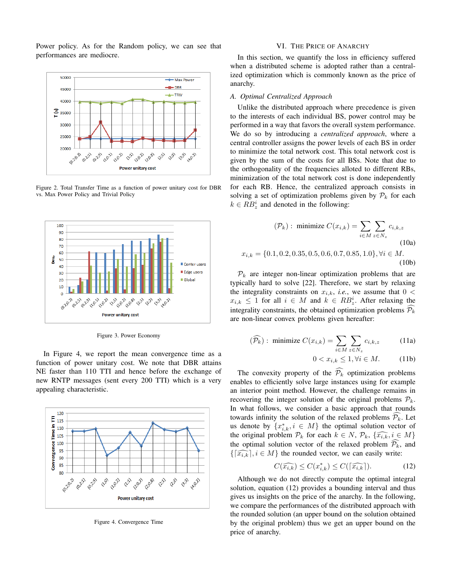Power policy. As for the Random policy, we can see that performances are mediocre.



Figure 2. Total Transfer Time as a function of power unitary cost for DBR vs. Max Power Policy and Trivial Policy



Figure 3. Power Economy

In Figure 4, we report the mean convergence time as a function of power unitary cost. We note that DBR attains NE faster than 110 TTI and hence before the exchange of new RNTP messages (sent every 200 TTI) which is a very appealing characteristic.



Figure 4. Convergence Time

#### VI. THE PRICE OF ANARCHY

In this section, we quantify the loss in efficiency suffered when a distributed scheme is adopted rather than a centralized optimization which is commonly known as the price of anarchy.

# *A. Optimal Centralized Approach*

Unlike the distributed approach where precedence is given to the interests of each individual BS, power control may be performed in a way that favors the overall system performance. We do so by introducing a *centralized approach*, where a central controller assigns the power levels of each BS in order to minimize the total network cost. This total network cost is given by the sum of the costs for all BSs. Note that due to the orthogonality of the frequencies alloted to different RBs, minimization of the total network cost is done independently for each RB. Hence, the centralized approach consists in solving a set of optimization problems given by  $\mathcal{P}_k$  for each  $k \in RB_z^i$  and denoted in the following:

$$
(\mathcal{P}_k): \text{ minimize } C(x_{i,k}) = \sum_{i \in M} \sum_{z \in N_z} c_{i,k,z}
$$
\n
$$
x_{i,k} = \{0.1, 0.2, 0.35, 0.5, 0.6, 0.7, 0.85, 1.0\}, \forall i \in M.
$$
\n(10b)

 $P_k$  are integer non-linear optimization problems that are typically hard to solve [22]. Therefore, we start by relaxing the integrality constraints on  $x_{i,k}$ , *i.e.*, we assume that  $0 <$  $x_{i,k} \leq 1$  for all  $i \in M$  and  $k \in RB_z^i$ . After relaxing the integrality constraints, the obtained optimization problems  $P_k$ are non-linear convex problems given hereafter:

$$
(\widehat{\mathcal{P}_k}) : \text{ minimize } C(x_{i,k}) = \sum_{i \in M} \sum_{z \in N_z} c_{i,k,z} \tag{11a}
$$

$$
0 < x_{i,k} \le 1, \forall i \in M. \tag{11b}
$$

The convexity property of the  $\widehat{\mathcal{P}_k}$  optimization problems enables to efficiently solve large instances using for example an interior point method. However, the challenge remains in recovering the integer solution of the original problems  $P_k$ . In what follows, we consider a basic approach that rounds towards infinity the solution of the relaxed problems  $P_k$ . Let us denote by  $\{x_{i,k}^*, i \in M\}$  the optimal solution vector of the original problem  $\mathcal{P}_k$  for each  $k \in \mathbb{N}$ ,  $\mathcal{P}_k$ ,  $\{\widehat{x_{i,k}}, i \in \mathbb{N}\}\$ the optimal solution vector of the relaxed problem  $\mathcal{P}_k$ , and  $\{\left[\widehat{x_{i,k}}\right], i \in M\}$  the rounded vector, we can easily write:

$$
C(\widehat{x_{i,k}}) \le C(x_{i,k}^*) \le C(\widehat{|x_{i,k}|}). \tag{12}
$$

Although we do not directly compute the optimal integral solution, equation (12) provides a bounding interval and thus gives us insights on the price of the anarchy. In the following, we compare the performances of the distributed approach with the rounded solution (an upper bound on the solution obtained by the original problem) thus we get an upper bound on the price of anarchy.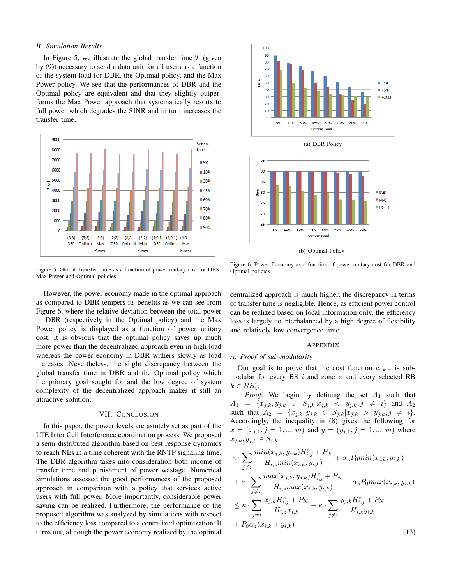## *B. Simulation Results*

In Figure 5, we illustrate the global transfer time  $T$  (given by (9)) necessary to send a data unit for all users as a function of the system load for DBR, the Optimal policy, and the Max Power policy. We see that the performances of DBR and the Optimal policy are equivalent and that they slightly outperforms the Max Power approach that systematically resorts to full power which degrades the SINR and in turn increases the transfer time.



Figure 5. Global Transfer Time as a function of power unitary cost for DBR, Max Power and Optimal policies

However, the power economy made in the optimal approach as compared to DBR tempers its benefits as we can see from Figure 6, where the relative deviation between the total power in DBR (respectively in the Optimal policy) and the Max Power policy is displayed as a function of power unitary cost. It is obvious that the optimal policy saves up much more power than the decentralized approach even in high load whereas the power economy in DBR withers slowly as load increases. Nevertheless, the slight discrepancy between the global transfer time in DBR and the Optimal policy which the primary goal sought for and the low degree of system complexity of the decentralized approach makes it still an attractive solution.

# VII. CONCLUSION

In this paper, the power levels are astutely set as part of the LTE Inter Cell Interference coordination process. We proposed a semi distributed algorithm based on best response dynamics to reach NEs in a time coherent with the RNTP signaling time. The DBR algorithm takes into consideration both income of transfer time and punishment of power wastage. Numerical simulations assessed the good performances of the proposed approach in comparison with a policy that services active users with full power. More importantly, considerable power saving can be realized. Furthermore, the performance of the proposed algorithm was analyzed by simulations with respect to the efficiency loss compared to a centralized optimization. It turns out, although the power economy realized by the optimal







(b) Optimal Policy

Figure 6. Power Economy as a function of power unitary cost for DBR and Optimal policies

centralized approach is much higher, the discrepancy in terms of transfer time is negligible. Hence, as efficient power control can be realized based on local information only, the efficiency loss is largely counterbalanced by a high degree of flexibility and relatively low convergence time.

# **APPENDIX**

# *A. Proof of sub-modularity*

Our goal is to prove that the cost function  $c_{i,k,z}$  is submodular for every BS  $i$  and zone  $z$  and every selected RB  $k \in RB_z^i$ .

*Proof:* We begin by defining the set  $A_1$  such that  $A_1 = \{x_{j,k}, y_{j,k} \in S_{j,k} | x_{j,k} \leq y_{j,k}, j \neq i \}$  and  $A_2$ such that  $A_2 = \{x_{j,k}, y_{j,k} \in S_{j,k} | x_{j,k} > y_{j,k}, j \neq i \}.$ Accordingly, the inequality in (8) gives the following for  $x = (x_{j,k}, j = 1, ..., m)$  and  $y = (y_{j,k}, j = 1, ..., m)$  where  $x_{j,k}, y_{j,k} \in S_{j,k}$ :

$$
\kappa \cdot \sum_{j \neq i} \frac{\min(x_{j,k}, y_{j,k}) H_{i,j}^z + P_N}{H_{i,z} \min(x_{i,k}, y_{i,k})} + \alpha_z P_0 \min(x_{i,k}, y_{i,k}) \n+ \kappa \cdot \sum_{j \neq i} \frac{\max(x_{j,k}, y_{j,k}) H_{i,j}^z + P_N}{H_{i,z} \max(x_{i,k}, y_{i,k})} + \alpha_z P_0 \max(x_{i,k}, y_{i,k}) \n\leq \kappa \cdot \sum_{j \neq i} \frac{x_{j,k} H_{i,j}^z + P_N}{H_{i,z} x_{i,k}} + \kappa \cdot \sum_{j \neq i} \frac{y_{j,k} H_{i,j}^z + P_N}{H_{i,z} y_{i,k}} \n+ P_0 \alpha_z(x_{i,k} + y_{i,k})
$$
\n(13)